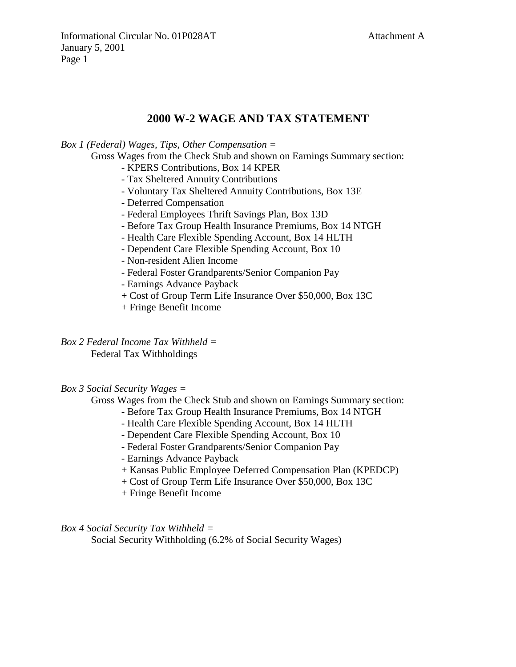# **2000 W-2 WAGE AND TAX STATEMENT**

*Box 1 (Federal) Wages, Tips, Other Compensation =* 

Gross Wages from the Check Stub and shown on Earnings Summary section:

- KPERS Contributions, Box 14 KPER
- Tax Sheltered Annuity Contributions
- Voluntary Tax Sheltered Annuity Contributions, Box 13E
- Deferred Compensation
- Federal Employees Thrift Savings Plan, Box 13D
- Before Tax Group Health Insurance Premiums, Box 14 NTGH
- Health Care Flexible Spending Account, Box 14 HLTH
- Dependent Care Flexible Spending Account, Box 10
- Non-resident Alien Income
- Federal Foster Grandparents/Senior Companion Pay
- Earnings Advance Payback
- + Cost of Group Term Life Insurance Over \$50,000, Box 13C
- + Fringe Benefit Income

*Box 2 Federal Income Tax Withheld =*  Federal Tax Withholdings

*Box 3 Social Security Wages =* 

Gross Wages from the Check Stub and shown on Earnings Summary section:

- Before Tax Group Health Insurance Premiums, Box 14 NTGH
- Health Care Flexible Spending Account, Box 14 HLTH
- Dependent Care Flexible Spending Account, Box 10
- Federal Foster Grandparents/Senior Companion Pay
- Earnings Advance Payback
- + Kansas Public Employee Deferred Compensation Plan (KPEDCP)
- + Cost of Group Term Life Insurance Over \$50,000, Box 13C
- + Fringe Benefit Income

*Box 4 Social Security Tax Withheld =* 

Social Security Withholding (6.2% of Social Security Wages)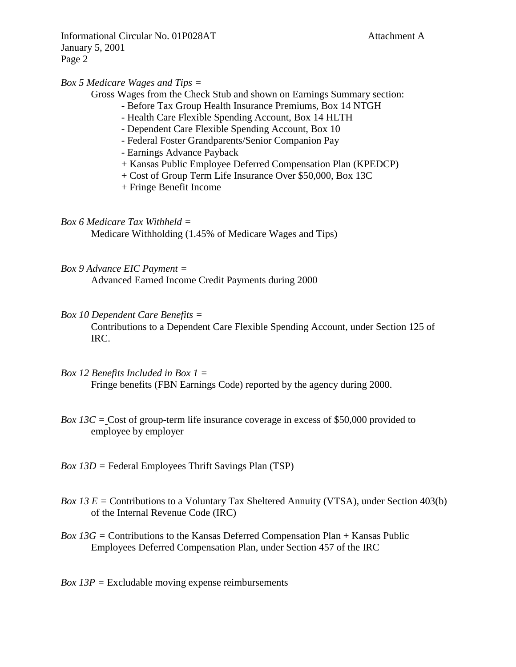Informational Circular No. 01P028AT Attachment A January 5, 2001 Page 2

### *Box 5 Medicare Wages and Tips =*

Gross Wages from the Check Stub and shown on Earnings Summary section:

- Before Tax Group Health Insurance Premiums, Box 14 NTGH
- Health Care Flexible Spending Account, Box 14 HLTH
- Dependent Care Flexible Spending Account, Box 10
- Federal Foster Grandparents/Senior Companion Pay
- Earnings Advance Payback
- + Kansas Public Employee Deferred Compensation Plan (KPEDCP)
- + Cost of Group Term Life Insurance Over \$50,000, Box 13C
- + Fringe Benefit Income

*Box 6 Medicare Tax Withheld =* 

Medicare Withholding (1.45% of Medicare Wages and Tips)

- *Box 9 Advance EIC Payment =*  Advanced Earned Income Credit Payments during 2000
- *Box 10 Dependent Care Benefits =*

Contributions to a Dependent Care Flexible Spending Account, under Section 125 of IRC.

- *Box 12 Benefits Included in Box 1 =*  Fringe benefits (FBN Earnings Code) reported by the agency during 2000.
- *Box 13C = Cost of group-term life insurance coverage in excess of \$50,000 provided to* employee by employer
- *Box 13D =* Federal Employees Thrift Savings Plan (TSP)
- *Box 13 E =* Contributions to a Voluntary Tax Sheltered Annuity (VTSA), under Section 403(b) of the Internal Revenue Code (IRC)
- *Box 13G =* Contributions to the Kansas Deferred Compensation Plan + Kansas Public Employees Deferred Compensation Plan, under Section 457 of the IRC
- *Box 13P =* Excludable moving expense reimbursements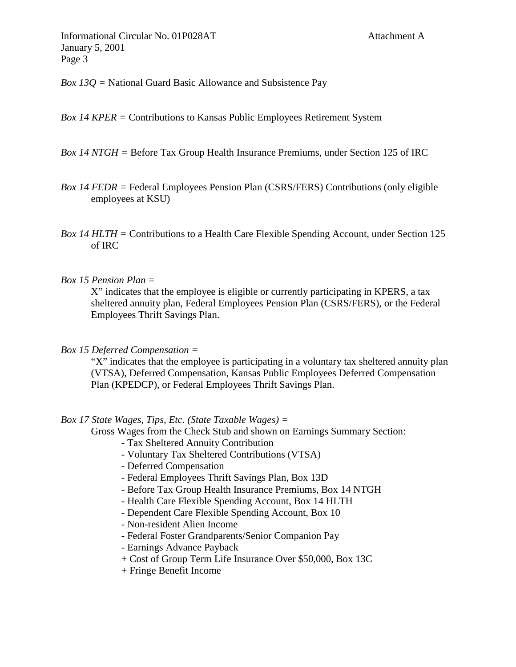Informational Circular No. 01P028AT Attachment A January 5, 2001 Page 3

*Box 13Q =* National Guard Basic Allowance and Subsistence Pay

*Box 14 KPER =* Contributions to Kansas Public Employees Retirement System

## *Box 14 NTGH =* Before Tax Group Health Insurance Premiums, under Section 125 of IRC

*Box 14 FEDR =* Federal Employees Pension Plan (CSRS/FERS) Contributions (only eligible employees at KSU)

*Box 14 HLTH =* Contributions to a Health Care Flexible Spending Account, under Section 125 of IRC

#### *Box 15 Pension Plan =*

X" indicates that the employee is eligible or currently participating in KPERS, a tax sheltered annuity plan, Federal Employees Pension Plan (CSRS/FERS), or the Federal Employees Thrift Savings Plan.

*Box 15 Deferred Compensation =* 

"X" indicates that the employee is participating in a voluntary tax sheltered annuity plan (VTSA), Deferred Compensation, Kansas Public Employees Deferred Compensation Plan (KPEDCP), or Federal Employees Thrift Savings Plan.

### *Box 17 State Wages, Tips, Etc. (State Taxable Wages) =*

Gross Wages from the Check Stub and shown on Earnings Summary Section:

- Tax Sheltered Annuity Contribution
- Voluntary Tax Sheltered Contributions (VTSA)
- Deferred Compensation
- Federal Employees Thrift Savings Plan, Box 13D
- Before Tax Group Health Insurance Premiums, Box 14 NTGH
- Health Care Flexible Spending Account, Box 14 HLTH
- Dependent Care Flexible Spending Account, Box 10
- Non-resident Alien Income
- Federal Foster Grandparents/Senior Companion Pay
- Earnings Advance Payback
- + Cost of Group Term Life Insurance Over \$50,000, Box 13C
- + Fringe Benefit Income